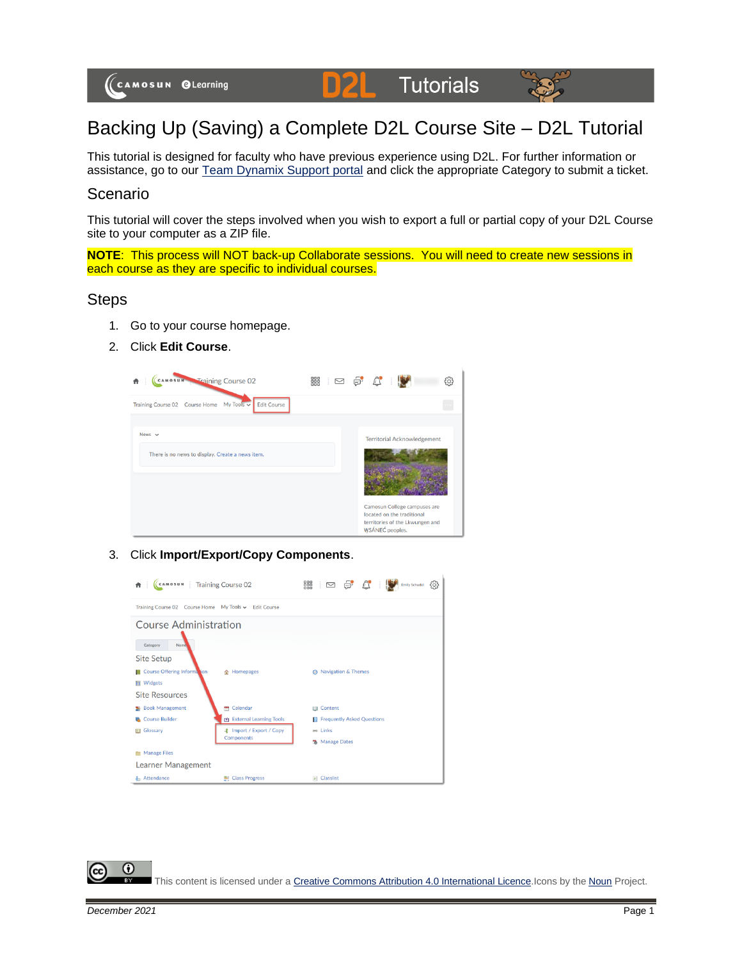

## Backing Up (Saving) a Complete D2L Course Site – D2L Tutorial

This tutorial is designed for faculty who have previous experience using D2L. For further information or assistance, go to our [Team Dynamix Support portal](https://camosun.teamdynamix.com/TDClient/67/Portal/Requests/ServiceCatalog?CategoryID=523) and click the appropriate Category to submit a ticket.

## Scenario

This tutorial will cover the steps involved when you wish to export a full or partial copy of your D2L Course site to your computer as a ZIP file.

**NOTE:** This process will NOT back-up Collaborate sessions. You will need to create new sessions in each course as they are specific to individual courses.

## Steps

- 1. Go to your course homepage.
- 2. Click **Edit Course**.



3. Click **Import/Export/Copy Components**.



This content is licensed under [a Creative Commons Attribution 4.0 International Licence.I](https://creativecommons.org/licenses/by/4.0/)cons by the [Noun](https://creativecommons.org/website-icons/) Project.

0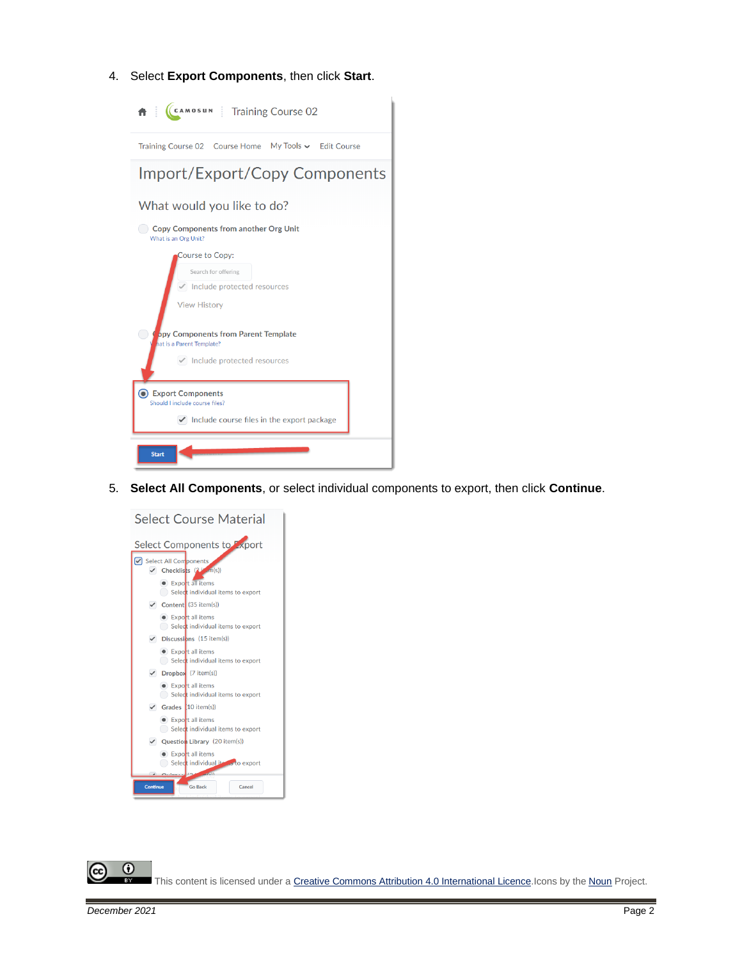4. Select **Export Components**, then click **Start**.



5. **Select All Components**, or select individual components to export, then click **Continue**.



 $\odot$ This content is licensed under [a Creative Commons Attribution 4.0 International Licence.I](https://creativecommons.org/licenses/by/4.0/)cons by the [Noun](https://creativecommons.org/website-icons/) Project.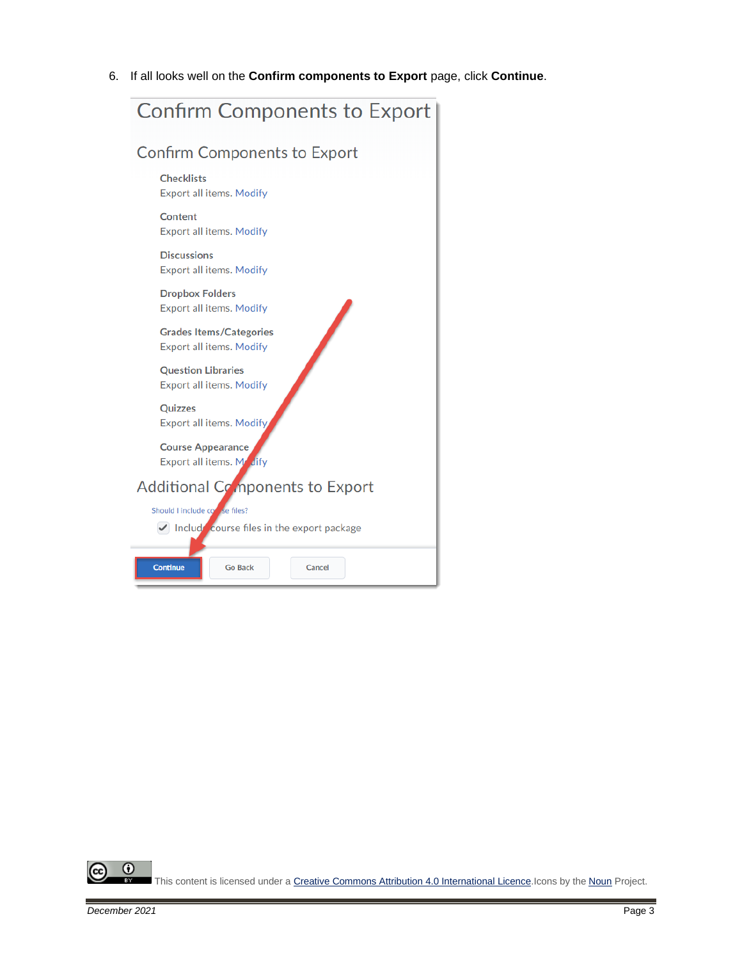6. If all looks well on the **Confirm components to Export** page, click **Continue**.